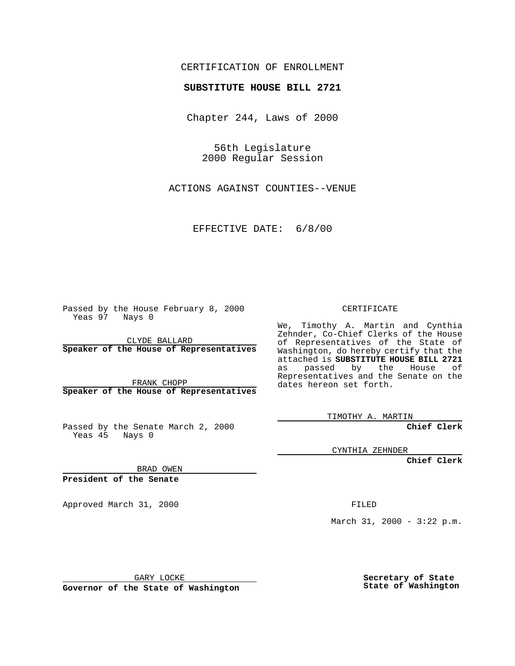## CERTIFICATION OF ENROLLMENT

## **SUBSTITUTE HOUSE BILL 2721**

Chapter 244, Laws of 2000

56th Legislature 2000 Regular Session

ACTIONS AGAINST COUNTIES--VENUE

EFFECTIVE DATE: 6/8/00

Passed by the House February 8, 2000 Yeas 97 Nays 0

CLYDE BALLARD **Speaker of the House of Representatives**

FRANK CHOPP **Speaker of the House of Representatives**

Passed by the Senate March 2, 2000 Yeas 45 Nays 0

CERTIFICATE

We, Timothy A. Martin and Cynthia Zehnder, Co-Chief Clerks of the House of Representatives of the State of Washington, do hereby certify that the attached is **SUBSTITUTE HOUSE BILL 2721** as passed by the House of Representatives and the Senate on the dates hereon set forth.

TIMOTHY A. MARTIN

**Chief Clerk**

CYNTHIA ZEHNDER

**Chief Clerk**

BRAD OWEN

**President of the Senate**

Approved March 31, 2000 FILED

March 31, 2000 - 3:22 p.m.

GARY LOCKE

**Governor of the State of Washington**

**Secretary of State State of Washington**